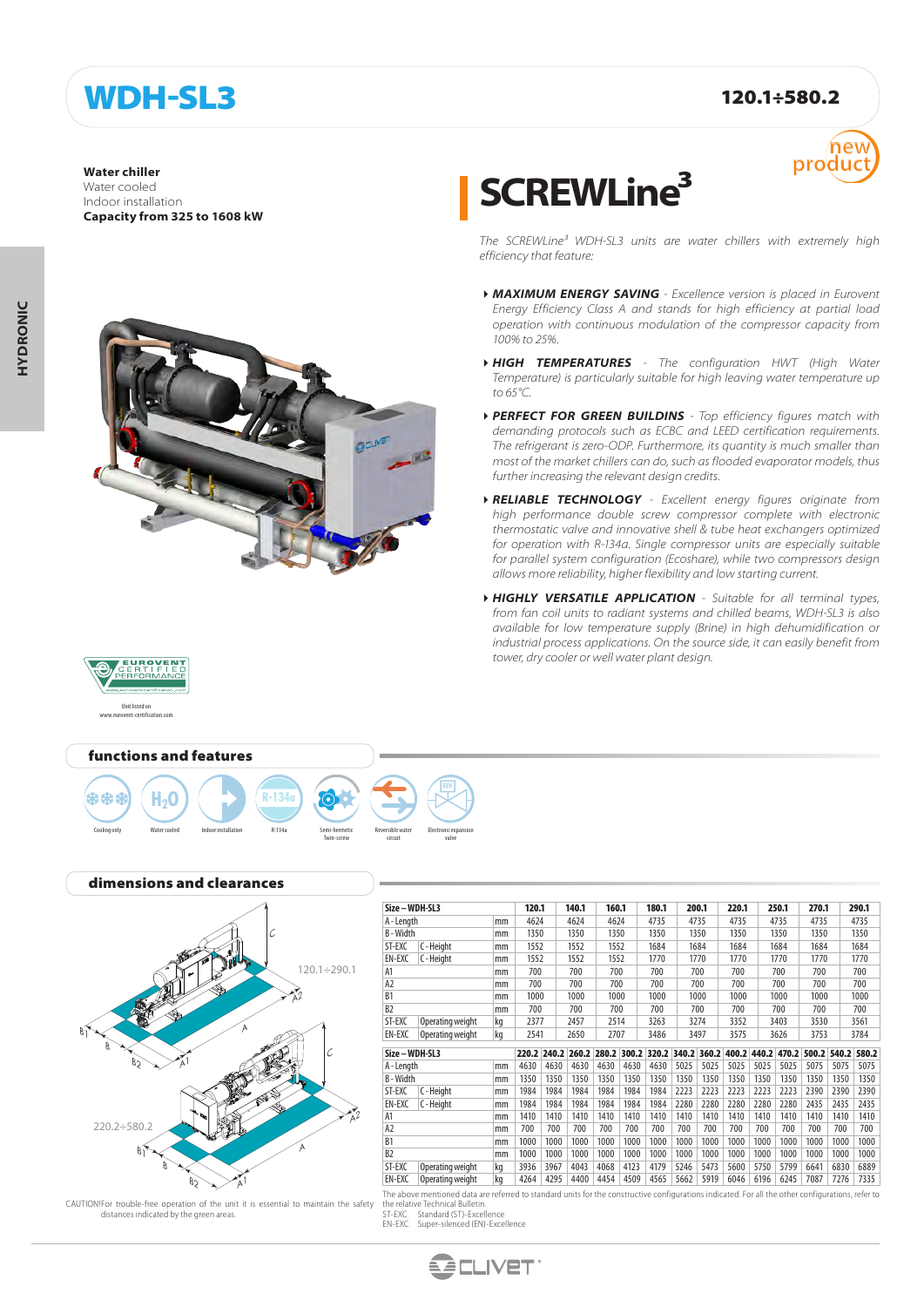## WDH-SL3 120.1÷580.2

**Water chiller**

Water cooled Indoor installation **Capacity from 325 to 1608 kW**



Twin-screw

Reversible water circuit

Electronic expansion valve

# **SCREWLine³**



*The SCREWLine³ WDH-SL3 units are water chillers with extremely high efficiency that feature:*

- *MAXIMUM ENERGY SAVING Excellence version is placed in Eurovent Energy Efficiency Class A and stands for high efficiency at partial load operation with continuous modulation of the compressor capacity from 100% to 25%.*
- *HIGH TEMPERATURES The configuration HWT (High Water Temperature) is particularly suitable for high leaving water temperature up to 65°C.*
- *PERFECT FOR GREEN BUILDINS Top efficiency figures match with demanding protocols such as ECBC and LEED certification requirements. The refrigerant is zero-ODP. Furthermore, its quantity is much smaller than most of the market chillers can do, such as flooded evaporator models, thus further increasing the relevant design credits.*
- *RELIABLE TECHNOLOGY Excellent energy figures originate from high performance double screw compressor complete with electronic thermostatic valve and innovative shell & tube heat exchangers optimized for operation with R-134a. Single compressor units are especially suitable for parallel system configuration (Ecoshare), while two compressors design allows more reliability, higher flexibility and low starting current.*
- *HIGHLY VERSATILE APPLICATION Suitable for all terminal types, from fan coil units to radiant systems and chilled beams, WDH-SL3 is also available for low temperature supply (Brine) in high dehumidification or industrial process applications. On the source side, it can easily benefit from tower, dry cooler or well water plant design.*



Unit listed on www.eurovent-certification.com







CAUTION! For trouble-free operation of the unit it is essential to maintain the safety distances indicated by the green areas.

| Size - WDH-SL3       |                  | 120.1 |              | 140.1 | 160.1 |       | 180.1 |       | 200.1 | 220.1 |       | 250.1 | 270.1 |       | 290.1 |      |  |
|----------------------|------------------|-------|--------------|-------|-------|-------|-------|-------|-------|-------|-------|-------|-------|-------|-------|------|--|
| A-Length<br>mm       |                  | 4624  |              | 4624  |       | 4624  | 4735  | 4735  |       | 4735  | 4735  |       | 4735  |       | 4735  |      |  |
| B-Width              |                  | mm    | 1350         |       | 1350  | 1350  |       | 1350  |       | 1350  | 1350  |       | 1350  | 1350  |       | 1350 |  |
| ST-EXC               | C - Height       | mm    | 1552         |       | 1552  | 1552  |       | 1684  |       | 1684  | 1684  |       | 1684  | 1684  |       | 1684 |  |
| EN-EXC               | C - Height       | mm    | 1552         |       | 1552  | 1552  |       | 1770  |       | 1770  | 1770  |       | 1770  |       | 1770  | 1770 |  |
| A1                   | mm               |       | 700          |       | 700   | 700   |       | 700   |       | 700   | 700   |       | 700   | 700   |       | 700  |  |
| A <sub>2</sub><br>mm |                  |       | 700          |       | 700   | 700   |       | 700   |       | 700   | 700   |       | 700   | 700   |       | 700  |  |
| B <sub>1</sub><br>mm |                  | 1000  |              | 1000  | 1000  |       | 1000  |       | 1000  | 1000  | 1000  |       | 1000  |       | 1000  |      |  |
| B <sub>2</sub>       |                  | mm    | 700          |       | 700   | 700   |       | 700   |       | 700   | 700   |       | 700   | 700   |       | 700  |  |
| ST-EXC               | Operating weight | kg    | 2377         |       | 2457  | 2514  |       | 3263  |       | 3274  | 3352  |       | 3403  | 3530  |       | 3561 |  |
| EN-EXC               | Operating weight | kg    | 2541<br>2650 |       | 2707  |       | 3486  |       | 3497  | 3575  |       | 3626  | 3753  |       | 3784  |      |  |
| Size-WDH-SL3         |                  |       | 220.2 240.2  | 260.2 | 280.2 | 300.2 | 320.2 | 340.2 | 360.2 | 400.2 | 440.2 | 470.2 | 500.2 | 540.2 | 580.2 |      |  |
| A-Length<br>mm       |                  |       | 4630         | 4630  | 4630  | 4630  | 4630  | 4630  | 5025  | 5025  | 5025  | 5025  | 5025  | 5075  | 5075  | 5075 |  |
| B-Width              |                  | mm    | 1350         | 1350  | 1350  | 1350  | 1350  | 1350  | 1350  | 1350  | 1350  | 1350  | 1350  | 1350  | 1350  | 1350 |  |
| ST-EXC               | C - Height       | mm    | 1984         | 1984  | 1984  | 1984  | 1984  | 1984  | 2223  | 2223  | 2223  | 2223  | 2223  | 2390  | 2390  | 2390 |  |
| EN-EXC               | C-Height         | mm    | 1984         | 1984  | 1984  | 1984  | 1984  | 1984  | 2280  | 2280  | 2280  | 2280  | 2280  | 2435  | 2435  | 2435 |  |
| A1                   |                  | mm    | 1410         | 1410  | 1410  | 1410  | 1410  | 1410  | 1410  | 1410  | 1410  | 1410  | 1410  | 1410  | 1410  | 1410 |  |
| A <sub>2</sub>       |                  | mm    | 700          | 700   | 700   | 700   | 700   | 700   | 700   | 700   | 700   | 700   | 700   | 700   | 700   | 700  |  |
| B <sub>1</sub>       |                  | mm    | 1000         | 1000  | 1000  | 1000  | 1000  | 1000  | 1000  | 1000  | 1000  | 1000  | 1000  | 1000  | 1000  | 1000 |  |
| B <sub>2</sub>       |                  | mm    | 1000         | 1000  | 1000  | 1000  | 1000  | 1000  | 1000  | 1000  | 1000  | 1000  | 1000  | 1000  | 1000  | 1000 |  |
|                      | Operating weight | kg    | 3936         | 3967  | 4043  | 4068  | 4123  | 4179  | 5246  | 5473  | 5600  | 5750  | 5799  | 6641  | 6830  | 6889 |  |
| ST-EXC               |                  |       |              |       |       |       |       |       |       |       |       |       |       |       |       |      |  |

The above mentioned data are referred to standard units for the constructive configurations indicated. For all the other configurations, refer to

the relative Technical Bulletin.

ST-EXC Standard (ST)-Excellence EN-EXC Super-silenced (EN)-Excellence